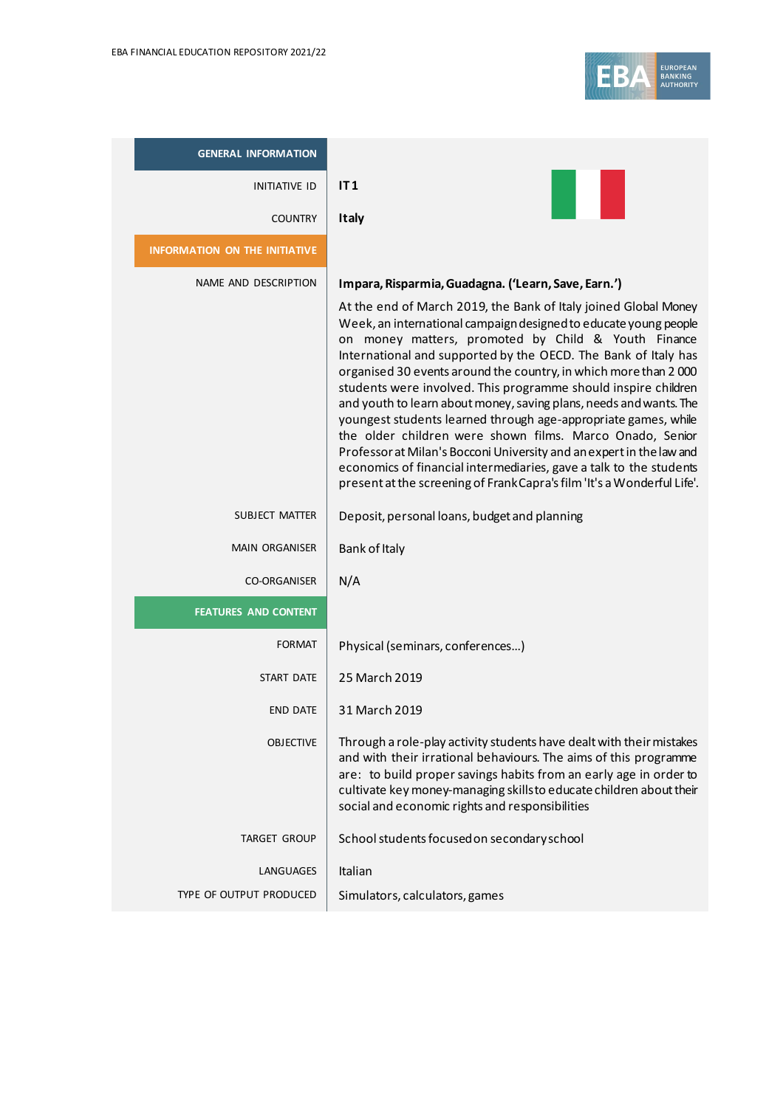

| <b>GENERAL INFORMATION</b>           |                                                                                                                                                                                                                                                                                                                                                                                                                                                                                                                                                                                                                                                                                                                                                                                                                                |
|--------------------------------------|--------------------------------------------------------------------------------------------------------------------------------------------------------------------------------------------------------------------------------------------------------------------------------------------------------------------------------------------------------------------------------------------------------------------------------------------------------------------------------------------------------------------------------------------------------------------------------------------------------------------------------------------------------------------------------------------------------------------------------------------------------------------------------------------------------------------------------|
| <b>INITIATIVE ID</b>                 | IT1                                                                                                                                                                                                                                                                                                                                                                                                                                                                                                                                                                                                                                                                                                                                                                                                                            |
| <b>COUNTRY</b>                       | <b>Italy</b>                                                                                                                                                                                                                                                                                                                                                                                                                                                                                                                                                                                                                                                                                                                                                                                                                   |
| <b>INFORMATION ON THE INITIATIVE</b> |                                                                                                                                                                                                                                                                                                                                                                                                                                                                                                                                                                                                                                                                                                                                                                                                                                |
| NAME AND DESCRIPTION                 | Impara, Risparmia, Guadagna. ('Learn, Save, Earn.')                                                                                                                                                                                                                                                                                                                                                                                                                                                                                                                                                                                                                                                                                                                                                                            |
|                                      | At the end of March 2019, the Bank of Italy joined Global Money<br>Week, an international campaign designed to educate young people<br>on money matters, promoted by Child & Youth Finance<br>International and supported by the OECD. The Bank of Italy has<br>organised 30 events around the country, in which more than 2000<br>students were involved. This programme should inspire children<br>and youth to learn about money, saving plans, needs and wants. The<br>youngest students learned through age-appropriate games, while<br>the older children were shown films. Marco Onado, Senior<br>Professor at Milan's Bocconi University and an expert in the law and<br>economics of financial intermediaries, gave a talk to the students<br>present at the screening of Frank Capra's film 'It's a Wonderful Life'. |
| SUBJECT MATTER                       | Deposit, personal loans, budget and planning                                                                                                                                                                                                                                                                                                                                                                                                                                                                                                                                                                                                                                                                                                                                                                                   |
| <b>MAIN ORGANISER</b>                | Bank of Italy                                                                                                                                                                                                                                                                                                                                                                                                                                                                                                                                                                                                                                                                                                                                                                                                                  |
| <b>CO-ORGANISER</b>                  | N/A                                                                                                                                                                                                                                                                                                                                                                                                                                                                                                                                                                                                                                                                                                                                                                                                                            |
| <b>FEATURES AND CONTENT</b>          |                                                                                                                                                                                                                                                                                                                                                                                                                                                                                                                                                                                                                                                                                                                                                                                                                                |
| <b>FORMAT</b>                        | Physical (seminars, conferences)                                                                                                                                                                                                                                                                                                                                                                                                                                                                                                                                                                                                                                                                                                                                                                                               |
| START DATE                           | 25 March 2019                                                                                                                                                                                                                                                                                                                                                                                                                                                                                                                                                                                                                                                                                                                                                                                                                  |
| <b>END DATE</b>                      | 31 March 2019                                                                                                                                                                                                                                                                                                                                                                                                                                                                                                                                                                                                                                                                                                                                                                                                                  |
| <b>OBJECTIVE</b>                     | Through a role-play activity students have dealt with their mistakes<br>and with their irrational behaviours. The aims of this programme<br>are: to build proper savings habits from an early age in order to<br>cultivate key money-managing skillsto educate children about their<br>social and economic rights and responsibilities                                                                                                                                                                                                                                                                                                                                                                                                                                                                                         |
| <b>TARGET GROUP</b>                  | School students focused on secondary school                                                                                                                                                                                                                                                                                                                                                                                                                                                                                                                                                                                                                                                                                                                                                                                    |
| LANGUAGES                            | Italian                                                                                                                                                                                                                                                                                                                                                                                                                                                                                                                                                                                                                                                                                                                                                                                                                        |
| TYPE OF OUTPUT PRODUCED              | Simulators, calculators, games                                                                                                                                                                                                                                                                                                                                                                                                                                                                                                                                                                                                                                                                                                                                                                                                 |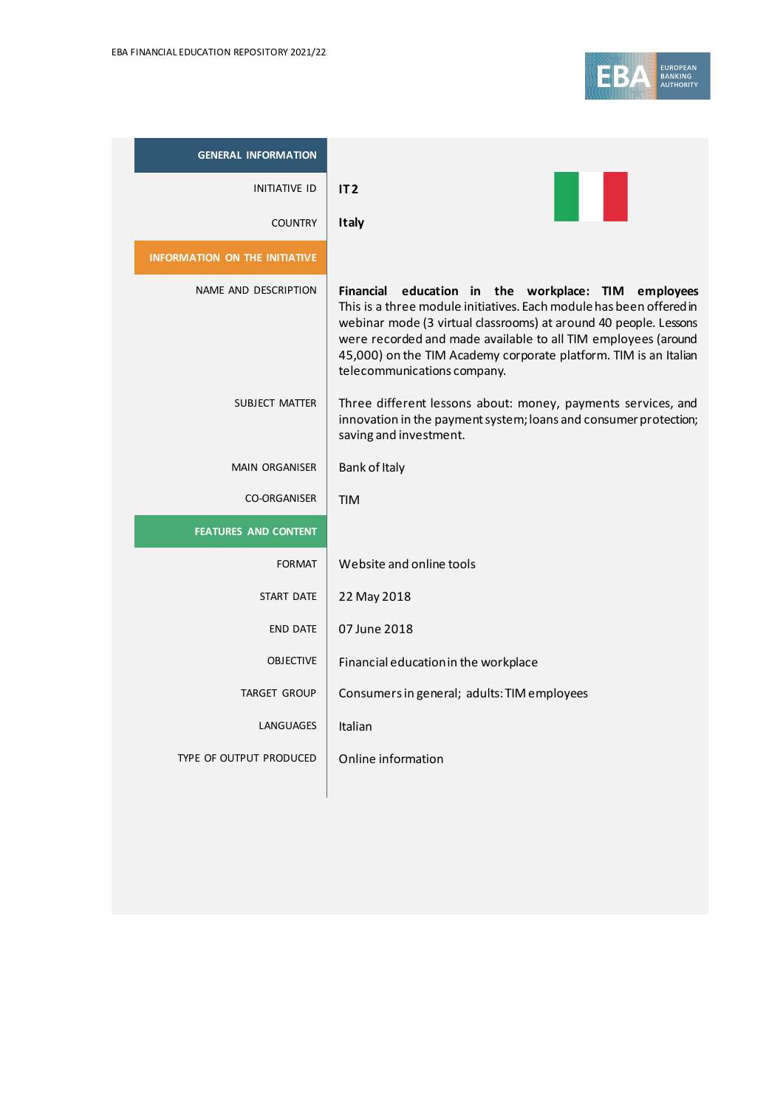

| <b>GENERAL INFORMATION</b>           |                                                                                                                                                                                                                                                                                                                                                                    |
|--------------------------------------|--------------------------------------------------------------------------------------------------------------------------------------------------------------------------------------------------------------------------------------------------------------------------------------------------------------------------------------------------------------------|
| <b>INITIATIVE ID</b>                 | IT <sub>2</sub>                                                                                                                                                                                                                                                                                                                                                    |
| <b>COUNTRY</b>                       | <b>Italy</b>                                                                                                                                                                                                                                                                                                                                                       |
| <b>INFORMATION ON THE INITIATIVE</b> |                                                                                                                                                                                                                                                                                                                                                                    |
| NAME AND DESCRIPTION                 | Financial education in the workplace: TIM employees<br>This is a three module initiatives. Each module has been offered in<br>webinar mode (3 virtual classrooms) at around 40 people. Lessons<br>were recorded and made available to all TIM employees (around<br>45,000) on the TIM Academy corporate platform. TIM is an Italian<br>telecommunications company. |
| <b>SUBJECT MATTER</b>                | Three different lessons about: money, payments services, and<br>innovation in the payment system; loans and consumer protection;<br>saving and investment.                                                                                                                                                                                                         |
| <b>MAIN ORGANISER</b>                | Bank of Italy                                                                                                                                                                                                                                                                                                                                                      |
| <b>CO-ORGANISER</b>                  | <b>TIM</b>                                                                                                                                                                                                                                                                                                                                                         |
| <b>FEATURES AND CONTENT</b>          |                                                                                                                                                                                                                                                                                                                                                                    |
| <b>FORMAT</b>                        | Website and online tools                                                                                                                                                                                                                                                                                                                                           |
| START DATE                           | 22 May 2018                                                                                                                                                                                                                                                                                                                                                        |
| <b>END DATE</b>                      | 07 June 2018                                                                                                                                                                                                                                                                                                                                                       |
| <b>OBJECTIVE</b>                     | Financial education in the workplace                                                                                                                                                                                                                                                                                                                               |
| <b>TARGET GROUP</b>                  | Consumers in general; adults: TIM employees                                                                                                                                                                                                                                                                                                                        |
| LANGUAGES                            | Italian                                                                                                                                                                                                                                                                                                                                                            |
| TYPE OF OUTPUT PRODUCED              | Online information                                                                                                                                                                                                                                                                                                                                                 |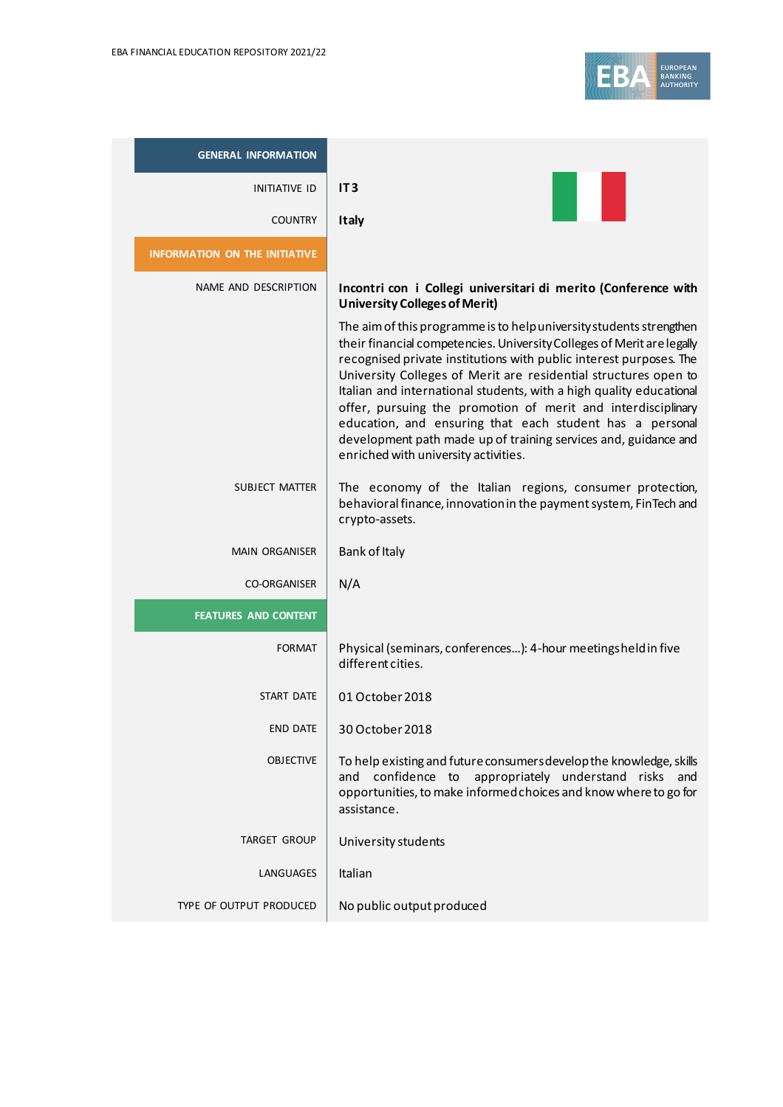

| <b>GENERAL INFORMATION</b>           |                                                                                                                                                                                                                                                                                                                                                                                                                                                                                                                                                                                                      |
|--------------------------------------|------------------------------------------------------------------------------------------------------------------------------------------------------------------------------------------------------------------------------------------------------------------------------------------------------------------------------------------------------------------------------------------------------------------------------------------------------------------------------------------------------------------------------------------------------------------------------------------------------|
| <b>INITIATIVE ID</b>                 | IT <sub>3</sub>                                                                                                                                                                                                                                                                                                                                                                                                                                                                                                                                                                                      |
| <b>COUNTRY</b>                       | <b>Italy</b>                                                                                                                                                                                                                                                                                                                                                                                                                                                                                                                                                                                         |
| <b>INFORMATION ON THE INITIATIVE</b> |                                                                                                                                                                                                                                                                                                                                                                                                                                                                                                                                                                                                      |
| NAME AND DESCRIPTION                 | Incontri con i Collegi universitari di merito (Conference with<br><b>University Colleges of Merit)</b>                                                                                                                                                                                                                                                                                                                                                                                                                                                                                               |
|                                      | The aim of this programme is to help university students strengthen<br>their financial competencies. University Colleges of Merit are legally<br>recognised private institutions with public interest purposes. The<br>University Colleges of Merit are residential structures open to<br>Italian and international students, with a high quality educational<br>offer, pursuing the promotion of merit and interdisciplinary<br>education, and ensuring that each student has a personal<br>development path made up of training services and, guidance and<br>enriched with university activities. |
| <b>SUBJECT MATTER</b>                | The economy of the Italian regions, consumer protection,<br>behavioral finance, innovation in the payment system, FinTech and<br>crypto-assets.                                                                                                                                                                                                                                                                                                                                                                                                                                                      |
| <b>MAIN ORGANISER</b>                | Bank of Italy                                                                                                                                                                                                                                                                                                                                                                                                                                                                                                                                                                                        |
| <b>CO-ORGANISER</b>                  | N/A                                                                                                                                                                                                                                                                                                                                                                                                                                                                                                                                                                                                  |
| <b>FEATURES AND CONTENT</b>          |                                                                                                                                                                                                                                                                                                                                                                                                                                                                                                                                                                                                      |
| <b>FORMAT</b>                        | Physical (seminars, conferences): 4-hour meetingsheld in five<br>different cities.                                                                                                                                                                                                                                                                                                                                                                                                                                                                                                                   |
| START DATE                           | 01 October 2018                                                                                                                                                                                                                                                                                                                                                                                                                                                                                                                                                                                      |
| <b>END DATE</b>                      | 30 October 2018                                                                                                                                                                                                                                                                                                                                                                                                                                                                                                                                                                                      |
| <b>OBJECTIVE</b>                     | To help existing and future consumers develop the knowledge, skills<br>and confidence to appropriately understand risks and<br>opportunities, to make informed choices and know where to go for<br>assistance.                                                                                                                                                                                                                                                                                                                                                                                       |
| <b>TARGET GROUP</b>                  | University students                                                                                                                                                                                                                                                                                                                                                                                                                                                                                                                                                                                  |
| LANGUAGES                            | Italian                                                                                                                                                                                                                                                                                                                                                                                                                                                                                                                                                                                              |
| TYPE OF OUTPUT PRODUCED              | No public output produced                                                                                                                                                                                                                                                                                                                                                                                                                                                                                                                                                                            |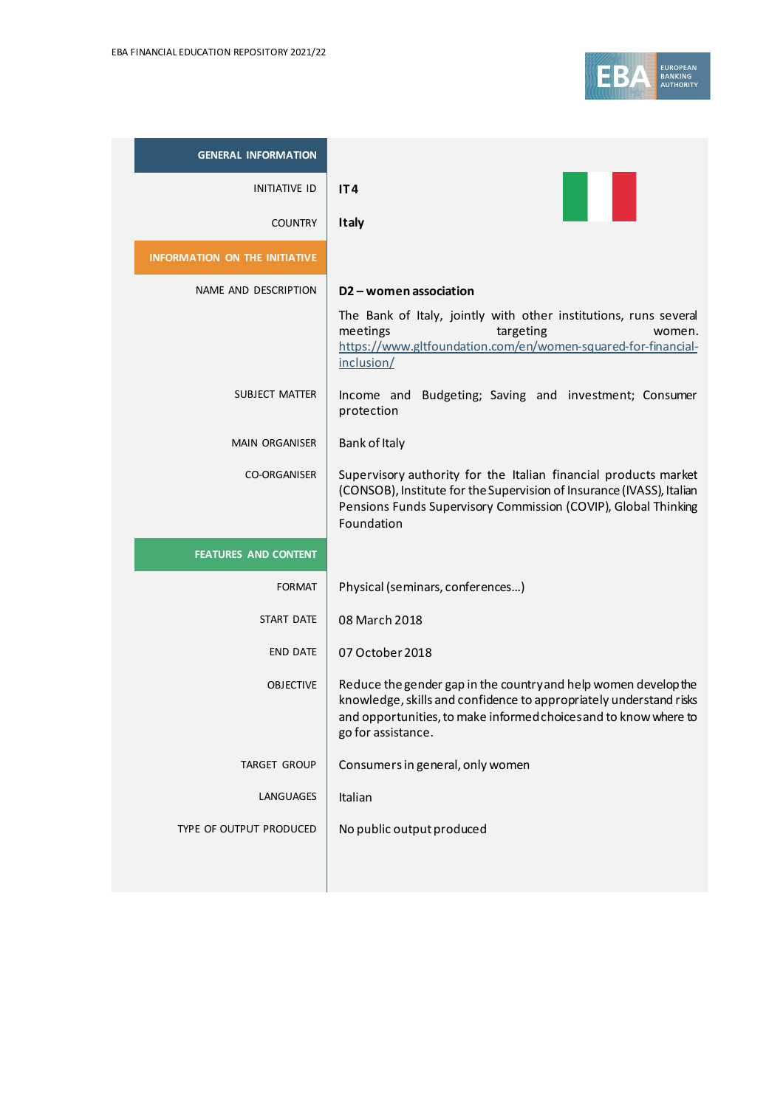

| <b>GENERAL INFORMATION</b>           |                                                                                                                                                                                                                                 |
|--------------------------------------|---------------------------------------------------------------------------------------------------------------------------------------------------------------------------------------------------------------------------------|
| INITIATIVE ID                        | IT4                                                                                                                                                                                                                             |
| <b>COUNTRY</b>                       | <b>Italy</b>                                                                                                                                                                                                                    |
| <b>INFORMATION ON THE INITIATIVE</b> |                                                                                                                                                                                                                                 |
| NAME AND DESCRIPTION                 | D <sub>2</sub> – women association                                                                                                                                                                                              |
|                                      | The Bank of Italy, jointly with other institutions, runs several<br>meetings<br>targeting<br>women.<br>https://www.gltfoundation.com/en/women-squared-for-financial-<br>inclusion/                                              |
| SUBJECT MATTER                       | Income and Budgeting; Saving and investment; Consumer<br>protection                                                                                                                                                             |
| <b>MAIN ORGANISER</b>                | Bank of Italy                                                                                                                                                                                                                   |
| <b>CO-ORGANISER</b>                  | Supervisory authority for the Italian financial products market<br>(CONSOB), Institute for the Supervision of Insurance (IVASS), Italian<br>Pensions Funds Supervisory Commission (COVIP), Global Thinking<br>Foundation        |
| <b>FEATURES AND CONTENT</b>          |                                                                                                                                                                                                                                 |
| <b>FORMAT</b>                        | Physical (seminars, conferences)                                                                                                                                                                                                |
| START DATE                           | 08 March 2018                                                                                                                                                                                                                   |
| <b>END DATE</b>                      | 07 October 2018                                                                                                                                                                                                                 |
| <b>OBJECTIVE</b>                     | Reduce the gender gap in the country and help women develop the<br>knowledge, skills and confidence to appropriately understand risks<br>and opportunities, to make informed choices and to know where to<br>go for assistance. |
| <b>TARGET GROUP</b>                  | Consumers in general, only women                                                                                                                                                                                                |
| LANGUAGES                            | Italian                                                                                                                                                                                                                         |
| TYPE OF OUTPUT PRODUCED              | No public output produced                                                                                                                                                                                                       |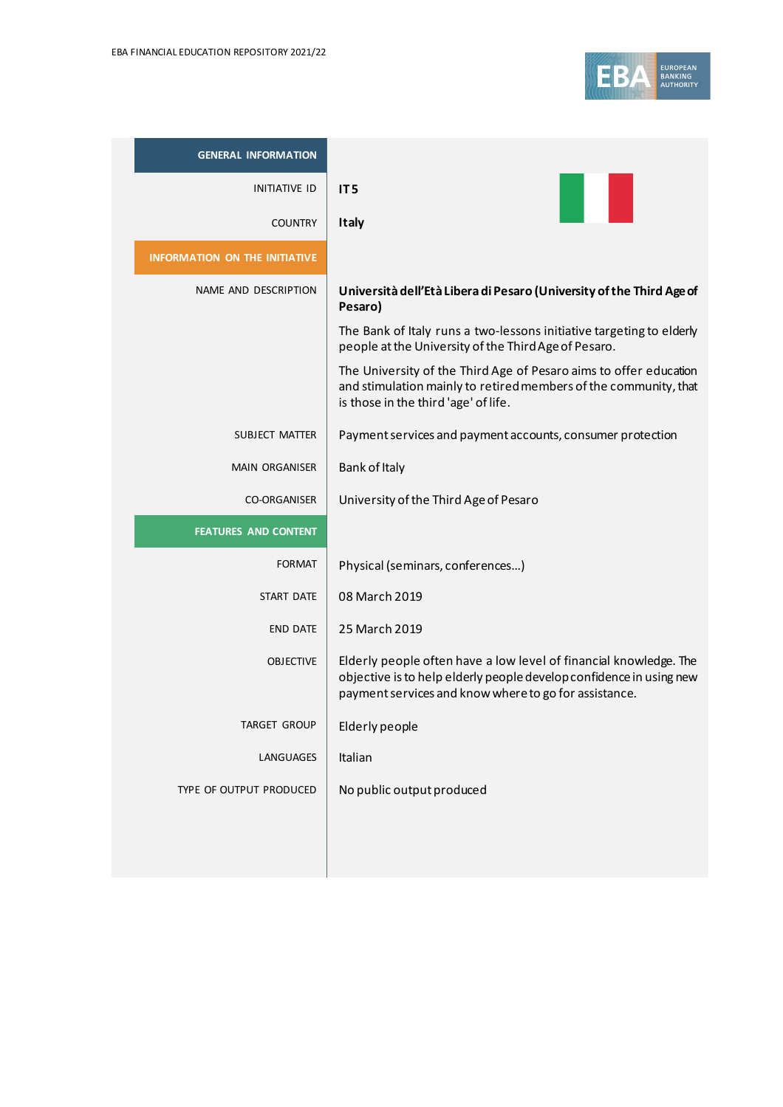

| <b>GENERAL INFORMATION</b>           |                                                                                                                                                                                                   |
|--------------------------------------|---------------------------------------------------------------------------------------------------------------------------------------------------------------------------------------------------|
| <b>INITIATIVE ID</b>                 | IT <sub>5</sub>                                                                                                                                                                                   |
| <b>COUNTRY</b>                       | <b>Italy</b>                                                                                                                                                                                      |
| <b>INFORMATION ON THE INITIATIVE</b> |                                                                                                                                                                                                   |
| NAME AND DESCRIPTION                 | Università dell'Età Libera di Pesaro (University of the Third Age of<br>Pesaro)                                                                                                                   |
|                                      | The Bank of Italy runs a two-lessons initiative targeting to elderly<br>people at the University of the Third Age of Pesaro.                                                                      |
|                                      | The University of the Third Age of Pesaro aims to offer education<br>and stimulation mainly to retired members of the community, that<br>is those in the third 'age' of life.                     |
| SUBJECT MATTER                       | Payment services and payment accounts, consumer protection                                                                                                                                        |
| <b>MAIN ORGANISER</b>                | Bank of Italy                                                                                                                                                                                     |
| <b>CO-ORGANISER</b>                  | University of the Third Age of Pesaro                                                                                                                                                             |
| <b>FEATURES AND CONTENT</b>          |                                                                                                                                                                                                   |
| <b>FORMAT</b>                        | Physical (seminars, conferences)                                                                                                                                                                  |
| <b>START DATE</b>                    | 08 March 2019                                                                                                                                                                                     |
| <b>END DATE</b>                      | 25 March 2019                                                                                                                                                                                     |
| <b>OBJECTIVE</b>                     | Elderly people often have a low level of financial knowledge. The<br>objective is to help elderly people develop confidence in using new<br>payment services and know where to go for assistance. |
| TARGET GROUP                         | Elderly people                                                                                                                                                                                    |
| LANGUAGES                            | Italian                                                                                                                                                                                           |
| TYPE OF OUTPUT PRODUCED              | No public output produced                                                                                                                                                                         |
|                                      |                                                                                                                                                                                                   |
|                                      |                                                                                                                                                                                                   |
|                                      |                                                                                                                                                                                                   |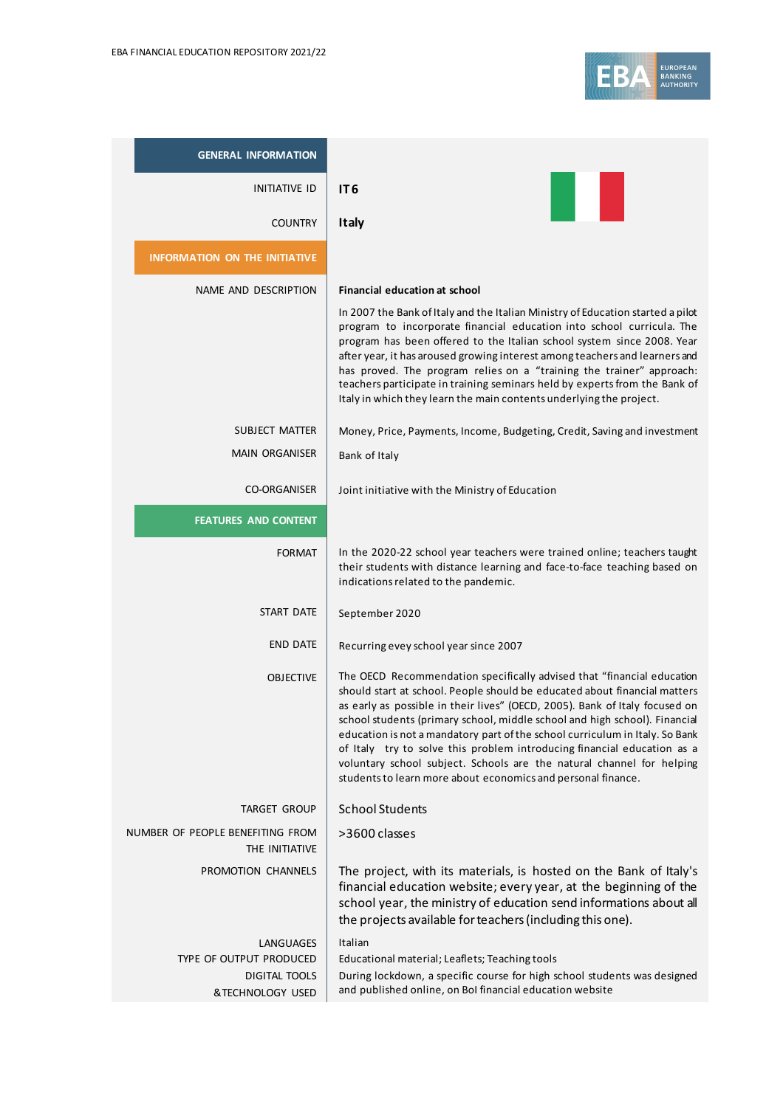

| <b>GENERAL INFORMATION</b>                                                       |                                                                                                                                                                                                                                                                                                                                                                                                                                                                                                                                                                                                                      |
|----------------------------------------------------------------------------------|----------------------------------------------------------------------------------------------------------------------------------------------------------------------------------------------------------------------------------------------------------------------------------------------------------------------------------------------------------------------------------------------------------------------------------------------------------------------------------------------------------------------------------------------------------------------------------------------------------------------|
| INITIATIVE ID                                                                    | IT <sub>6</sub>                                                                                                                                                                                                                                                                                                                                                                                                                                                                                                                                                                                                      |
| <b>COUNTRY</b>                                                                   | Italy                                                                                                                                                                                                                                                                                                                                                                                                                                                                                                                                                                                                                |
| <b>INFORMATION ON THE INITIATIVE</b>                                             |                                                                                                                                                                                                                                                                                                                                                                                                                                                                                                                                                                                                                      |
| NAME AND DESCRIPTION                                                             | <b>Financial education at school</b><br>In 2007 the Bank of Italy and the Italian Ministry of Education started a pilot<br>program to incorporate financial education into school curricula. The<br>program has been offered to the Italian school system since 2008. Year<br>after year, it has aroused growing interest among teachers and learners and<br>has proved. The program relies on a "training the trainer" approach:<br>teachers participate in training seminars held by experts from the Bank of<br>Italy in which they learn the main contents underlying the project.                               |
| SUBJECT MATTER                                                                   | Money, Price, Payments, Income, Budgeting, Credit, Saving and investment                                                                                                                                                                                                                                                                                                                                                                                                                                                                                                                                             |
| <b>MAIN ORGANISER</b>                                                            | Bank of Italy                                                                                                                                                                                                                                                                                                                                                                                                                                                                                                                                                                                                        |
| <b>CO-ORGANISER</b>                                                              | Joint initiative with the Ministry of Education                                                                                                                                                                                                                                                                                                                                                                                                                                                                                                                                                                      |
| <b>FEATURES AND CONTENT</b>                                                      |                                                                                                                                                                                                                                                                                                                                                                                                                                                                                                                                                                                                                      |
| <b>FORMAT</b>                                                                    | In the 2020-22 school year teachers were trained online; teachers taught<br>their students with distance learning and face-to-face teaching based on<br>indications related to the pandemic.                                                                                                                                                                                                                                                                                                                                                                                                                         |
| START DATE                                                                       | September 2020                                                                                                                                                                                                                                                                                                                                                                                                                                                                                                                                                                                                       |
| <b>END DATE</b>                                                                  | Recurring evey school year since 2007                                                                                                                                                                                                                                                                                                                                                                                                                                                                                                                                                                                |
| <b>OBJECTIVE</b>                                                                 | The OECD Recommendation specifically advised that "financial education<br>should start at school. People should be educated about financial matters<br>as early as possible in their lives" (OECD, 2005). Bank of Italy focused on<br>school students (primary school, middle school and high school). Financial<br>education is not a mandatory part of the school curriculum in Italy. So Bank<br>of Italy try to solve this problem introducing financial education as a<br>voluntary school subject. Schools are the natural channel for helping<br>students to learn more about economics and personal finance. |
| TARGET GROUP                                                                     | <b>School Students</b>                                                                                                                                                                                                                                                                                                                                                                                                                                                                                                                                                                                               |
| NUMBER OF PEOPLE BENEFITING FROM<br>THE INITIATIVE                               | >3600 classes                                                                                                                                                                                                                                                                                                                                                                                                                                                                                                                                                                                                        |
| PROMOTION CHANNELS                                                               | The project, with its materials, is hosted on the Bank of Italy's<br>financial education website; every year, at the beginning of the<br>school year, the ministry of education send informations about all<br>the projects available for teachers (including this one).                                                                                                                                                                                                                                                                                                                                             |
| LANGUAGES<br>TYPE OF OUTPUT PRODUCED<br><b>DIGITAL TOOLS</b><br>&TECHNOLOGY USED | Italian<br>Educational material; Leaflets; Teaching tools<br>During lockdown, a specific course for high school students was designed<br>and published online, on Bol financial education website                                                                                                                                                                                                                                                                                                                                                                                                                    |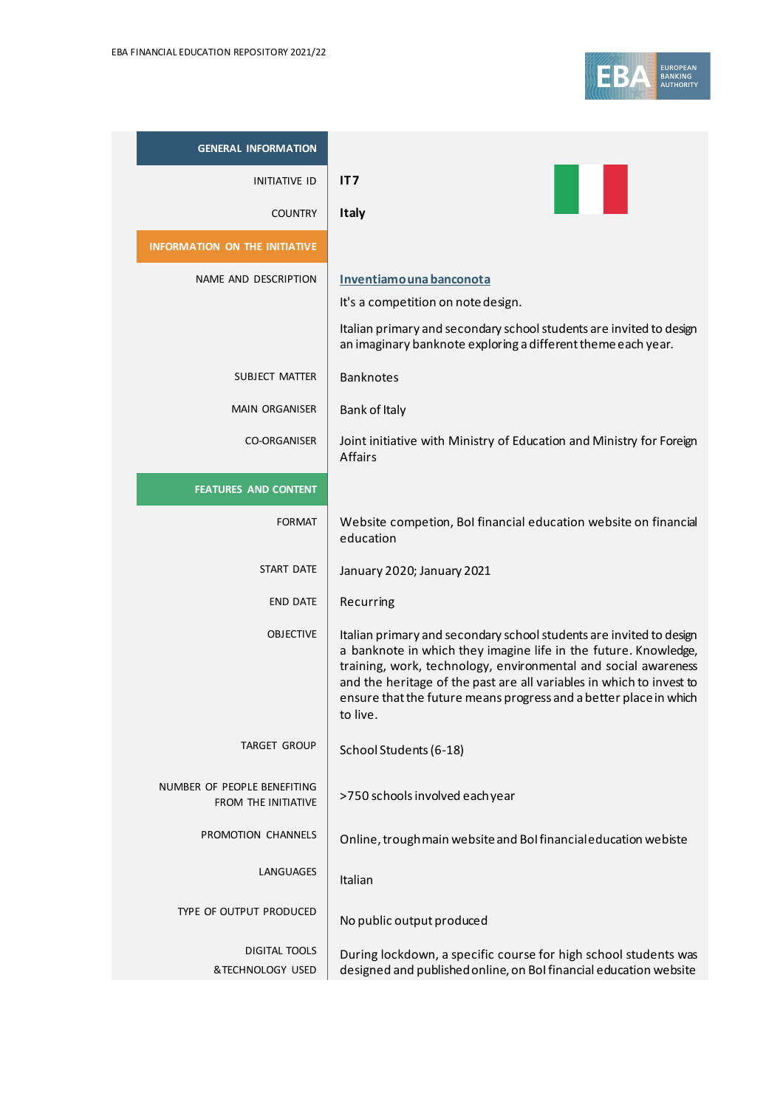

| <b>GENERAL INFORMATION</b>                                |                                                                                                                                                                                                                                                                                                                                                                  |
|-----------------------------------------------------------|------------------------------------------------------------------------------------------------------------------------------------------------------------------------------------------------------------------------------------------------------------------------------------------------------------------------------------------------------------------|
| INITIATIVE ID                                             | IT7                                                                                                                                                                                                                                                                                                                                                              |
| <b>COUNTRY</b>                                            | <b>Italy</b>                                                                                                                                                                                                                                                                                                                                                     |
| <b>INFORMATION ON THE INITIATIVE</b>                      |                                                                                                                                                                                                                                                                                                                                                                  |
| NAME AND DESCRIPTION                                      | Inventiamo una banconota<br>It's a competition on note design.<br>Italian primary and secondary school students are invited to design<br>an imaginary banknote exploring a different theme each year.                                                                                                                                                            |
| SUBJECT MATTER                                            | <b>Banknotes</b>                                                                                                                                                                                                                                                                                                                                                 |
| <b>MAIN ORGANISER</b>                                     | Bank of Italy                                                                                                                                                                                                                                                                                                                                                    |
| <b>CO-ORGANISER</b>                                       | Joint initiative with Ministry of Education and Ministry for Foreign<br><b>Affairs</b>                                                                                                                                                                                                                                                                           |
| <b>FEATURES AND CONTENT</b>                               |                                                                                                                                                                                                                                                                                                                                                                  |
| <b>FORMAT</b>                                             | Website competion, BoI financial education website on financial<br>education                                                                                                                                                                                                                                                                                     |
| START DATE                                                | January 2020; January 2021                                                                                                                                                                                                                                                                                                                                       |
| <b>END DATE</b>                                           | Recurring                                                                                                                                                                                                                                                                                                                                                        |
| <b>OBJECTIVE</b>                                          | Italian primary and secondary school students are invited to design<br>a banknote in which they imagine life in the future. Knowledge,<br>training, work, technology, environmental and social awareness<br>and the heritage of the past are all variables in which to invest to<br>ensure that the future means progress and a better place in which<br>to live |
| TARGET GROUP                                              | School Students (6-18)                                                                                                                                                                                                                                                                                                                                           |
| NUMBER OF PEOPLE BENEFITING<br><b>FROM THE INITIATIVE</b> | >750 schools involved each year                                                                                                                                                                                                                                                                                                                                  |
| PROMOTION CHANNELS                                        | Online, trough main website and BoI financial education webiste                                                                                                                                                                                                                                                                                                  |
| LANGUAGES                                                 | Italian                                                                                                                                                                                                                                                                                                                                                          |
| TYPE OF OUTPUT PRODUCED                                   | No public output produced                                                                                                                                                                                                                                                                                                                                        |
| DIGITAL TOOLS<br>&TECHNOLOGY USED                         | During lockdown, a specific course for high school students was<br>designed and published online, on BoI financial education website                                                                                                                                                                                                                             |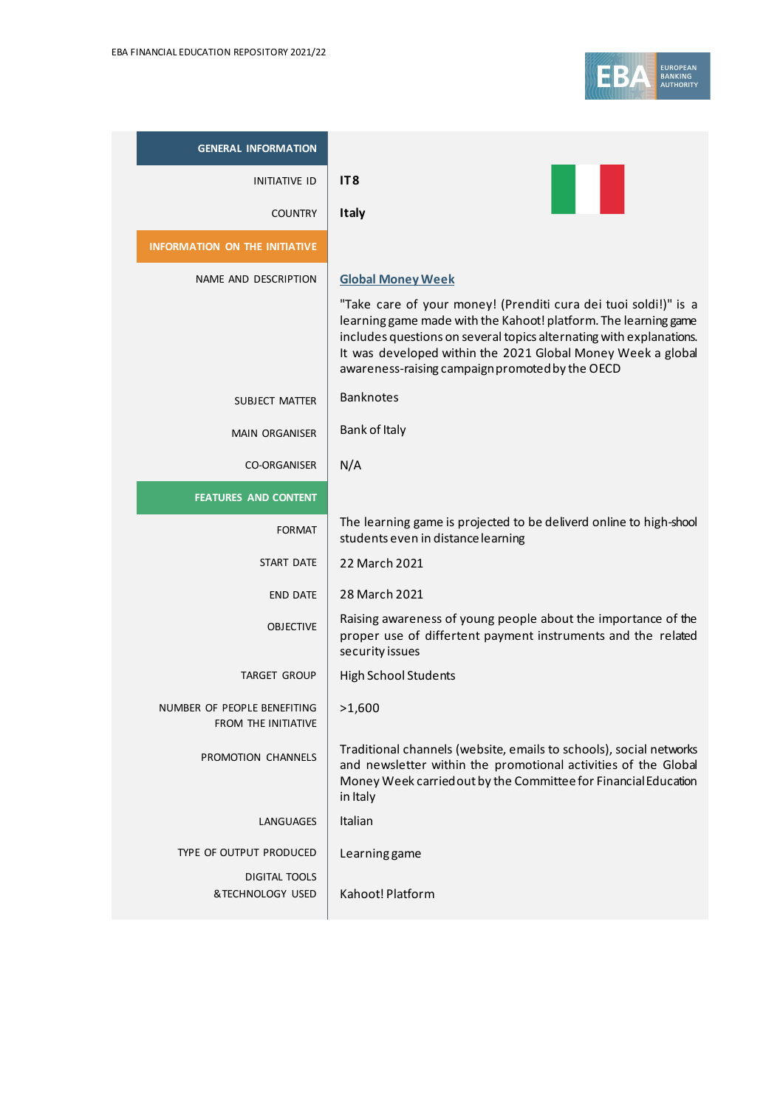

| <b>GENERAL INFORMATION</b>                         |                                                                                                                                                                                                                                                                                                                             |
|----------------------------------------------------|-----------------------------------------------------------------------------------------------------------------------------------------------------------------------------------------------------------------------------------------------------------------------------------------------------------------------------|
| INITIATIVE ID                                      | IT <sub>8</sub>                                                                                                                                                                                                                                                                                                             |
| <b>COUNTRY</b>                                     | <b>Italy</b>                                                                                                                                                                                                                                                                                                                |
| <b>INFORMATION ON THE INITIATIVE</b>               |                                                                                                                                                                                                                                                                                                                             |
| NAME AND DESCRIPTION                               | <b>Global Money Week</b>                                                                                                                                                                                                                                                                                                    |
|                                                    | "Take care of your money! (Prenditi cura dei tuoi soldi!)" is a<br>learning game made with the Kahoot! platform. The learning game<br>includes questions on several topics alternating with explanations.<br>It was developed within the 2021 Global Money Week a global<br>awareness-raising campaign promoted by the OECD |
| SUBJECT MATTER                                     | <b>Banknotes</b>                                                                                                                                                                                                                                                                                                            |
| <b>MAIN ORGANISER</b>                              | Bank of Italy                                                                                                                                                                                                                                                                                                               |
| CO-ORGANISER                                       | N/A                                                                                                                                                                                                                                                                                                                         |
| <b>FEATURES AND CONTENT</b>                        |                                                                                                                                                                                                                                                                                                                             |
| <b>FORMAT</b>                                      | The learning game is projected to be deliverd online to high-shool<br>students even in distance learning                                                                                                                                                                                                                    |
| START DATE                                         | 22 March 2021                                                                                                                                                                                                                                                                                                               |
| <b>END DATE</b>                                    | 28 March 2021                                                                                                                                                                                                                                                                                                               |
| <b>OBJECTIVE</b>                                   | Raising awareness of young people about the importance of the<br>proper use of differtent payment instruments and the related<br>security issues                                                                                                                                                                            |
| <b>TARGET GROUP</b>                                | <b>High School Students</b>                                                                                                                                                                                                                                                                                                 |
| NUMBER OF PEOPLE BENEFITING<br>FROM THE INITIATIVE | >1,600                                                                                                                                                                                                                                                                                                                      |
| PROMOTION CHANNELS                                 | Traditional channels (website, emails to schools), social networks<br>and newsletter within the promotional activities of the Global<br>Money Week carried out by the Committee for Financial Education<br>in Italy                                                                                                         |
| LANGUAGES                                          | Italian                                                                                                                                                                                                                                                                                                                     |
| TYPE OF OUTPUT PRODUCED                            | Learning game                                                                                                                                                                                                                                                                                                               |
| DIGITAL TOOLS<br>&TECHNOLOGY USED                  | Kahoot! Platform                                                                                                                                                                                                                                                                                                            |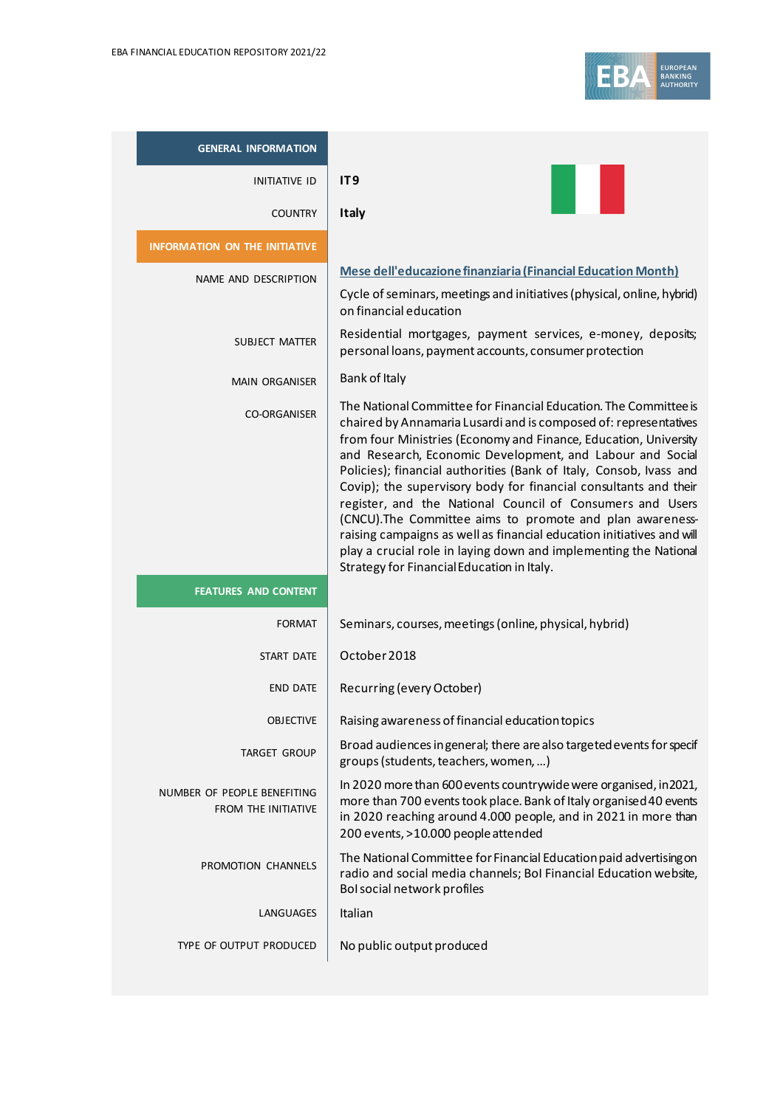| <b>GENERAL INFORMATION</b>                         |                                                                                                                                                                                                                                                                                                                                                                                                                                                                                                                                                                                                                                                                                                                                      |
|----------------------------------------------------|--------------------------------------------------------------------------------------------------------------------------------------------------------------------------------------------------------------------------------------------------------------------------------------------------------------------------------------------------------------------------------------------------------------------------------------------------------------------------------------------------------------------------------------------------------------------------------------------------------------------------------------------------------------------------------------------------------------------------------------|
| <b>INITIATIVE ID</b>                               | IT <sub>9</sub>                                                                                                                                                                                                                                                                                                                                                                                                                                                                                                                                                                                                                                                                                                                      |
| <b>COUNTRY</b>                                     | <b>Italy</b>                                                                                                                                                                                                                                                                                                                                                                                                                                                                                                                                                                                                                                                                                                                         |
| <b>INFORMATION ON THE INITIATIVE</b>               |                                                                                                                                                                                                                                                                                                                                                                                                                                                                                                                                                                                                                                                                                                                                      |
| NAME AND DESCRIPTION                               | Mese dell'educazione finanziaria (Financial Education Month)<br>Cycle of seminars, meetings and initiatives (physical, online, hybrid)<br>on financial education                                                                                                                                                                                                                                                                                                                                                                                                                                                                                                                                                                     |
| <b>SUBJECT MATTER</b>                              | Residential mortgages, payment services, e-money, deposits;<br>personal loans, payment accounts, consumer protection                                                                                                                                                                                                                                                                                                                                                                                                                                                                                                                                                                                                                 |
| <b>MAIN ORGANISER</b>                              | Bank of Italy                                                                                                                                                                                                                                                                                                                                                                                                                                                                                                                                                                                                                                                                                                                        |
| <b>CO-ORGANISER</b>                                | The National Committee for Financial Education. The Committee is<br>chaired by Annamaria Lusardi and is composed of: representatives<br>from four Ministries (Economy and Finance, Education, University<br>and Research, Economic Development, and Labour and Social<br>Policies); financial authorities (Bank of Italy, Consob, Ivass and<br>Covip); the supervisory body for financial consultants and their<br>register, and the National Council of Consumers and Users<br>(CNCU). The Committee aims to promote and plan awareness-<br>raising campaigns as well as financial education initiatives and will<br>play a crucial role in laying down and implementing the National<br>Strategy for Financial Education in Italy. |
| <b>FEATURES AND CONTENT</b>                        |                                                                                                                                                                                                                                                                                                                                                                                                                                                                                                                                                                                                                                                                                                                                      |
| <b>FORMAT</b>                                      | Seminars, courses, meetings (online, physical, hybrid)                                                                                                                                                                                                                                                                                                                                                                                                                                                                                                                                                                                                                                                                               |
| <b>START DATE</b>                                  | October 2018                                                                                                                                                                                                                                                                                                                                                                                                                                                                                                                                                                                                                                                                                                                         |
| <b>FND DATF</b>                                    | Recurring (every October)                                                                                                                                                                                                                                                                                                                                                                                                                                                                                                                                                                                                                                                                                                            |
| <b>OBJECTIVE</b>                                   | Raising awareness of financial education topics                                                                                                                                                                                                                                                                                                                                                                                                                                                                                                                                                                                                                                                                                      |
| <b>TARGET GROUP</b>                                | Broad audiences in general; there are also targeted events for specif<br>groups (students, teachers, women, )                                                                                                                                                                                                                                                                                                                                                                                                                                                                                                                                                                                                                        |
| NUMBER OF PEOPLE BENEFITING<br>FROM THE INITIATIVE | In 2020 more than 600 events countrywide were organised, in 2021,<br>more than 700 events took place. Bank of Italy organised 40 events<br>in 2020 reaching around 4.000 people, and in 2021 in more than<br>200 events, >10.000 people attended                                                                                                                                                                                                                                                                                                                                                                                                                                                                                     |
| PROMOTION CHANNELS                                 | The National Committee for Financial Education paid advertising on<br>radio and social media channels; BoI Financial Education website,<br>Bol social network profiles                                                                                                                                                                                                                                                                                                                                                                                                                                                                                                                                                               |
| LANGUAGES                                          | Italian                                                                                                                                                                                                                                                                                                                                                                                                                                                                                                                                                                                                                                                                                                                              |
| TYPE OF OUTPUT PRODUCED                            | No public output produced                                                                                                                                                                                                                                                                                                                                                                                                                                                                                                                                                                                                                                                                                                            |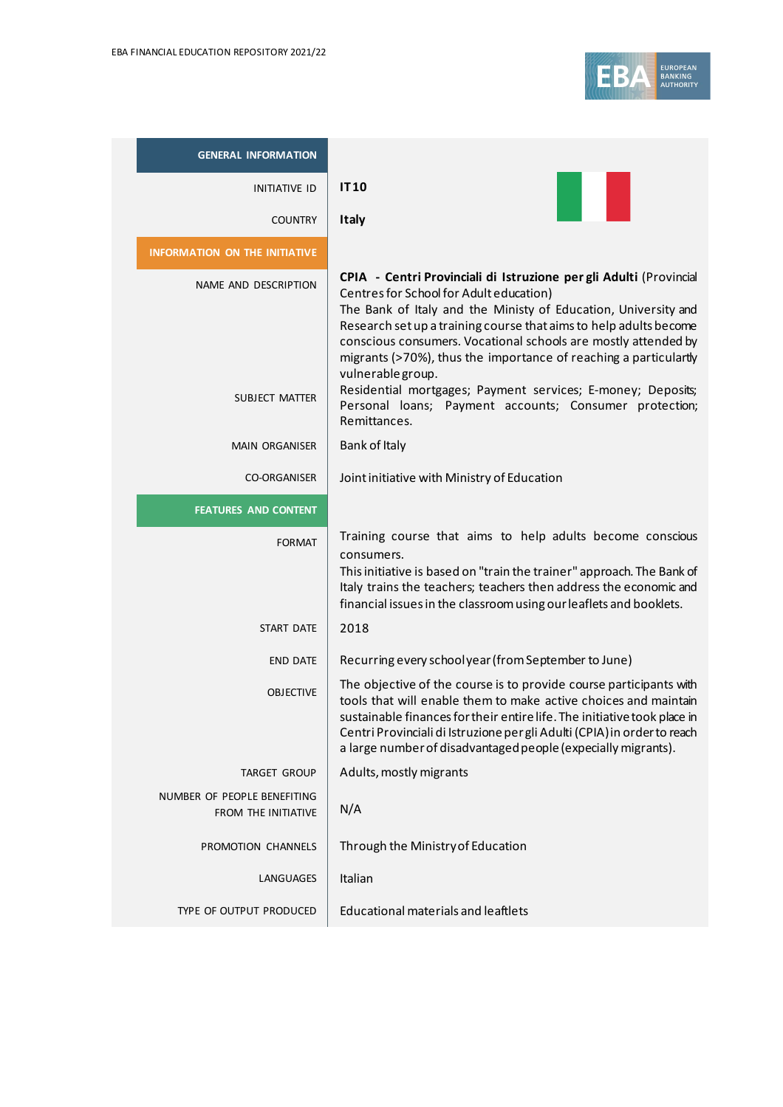

| <b>GENERAL INFORMATION</b>                                |                                                                                                                                                                                                                                                                                                                                                                                                                 |
|-----------------------------------------------------------|-----------------------------------------------------------------------------------------------------------------------------------------------------------------------------------------------------------------------------------------------------------------------------------------------------------------------------------------------------------------------------------------------------------------|
| <b>INITIATIVE ID</b>                                      | <b>IT10</b>                                                                                                                                                                                                                                                                                                                                                                                                     |
| <b>COUNTRY</b>                                            | <b>Italy</b>                                                                                                                                                                                                                                                                                                                                                                                                    |
| <b>INFORMATION ON THE INITIATIVE</b>                      |                                                                                                                                                                                                                                                                                                                                                                                                                 |
| NAME AND DESCRIPTION                                      | CPIA - Centri Provinciali di Istruzione per gli Adulti (Provincial<br>Centres for School for Adult education)<br>The Bank of Italy and the Ministy of Education, University and<br>Research set up a training course that aims to help adults become<br>conscious consumers. Vocational schools are mostly attended by<br>migrants (>70%), thus the importance of reaching a particulartly<br>vulnerable group. |
| SUBJECT MATTER                                            | Residential mortgages; Payment services; E-money; Deposits;<br>Personal loans; Payment accounts; Consumer protection;<br>Remittances.                                                                                                                                                                                                                                                                           |
| <b>MAIN ORGANISER</b>                                     | Bank of Italy                                                                                                                                                                                                                                                                                                                                                                                                   |
| <b>CO-ORGANISER</b>                                       | Joint initiative with Ministry of Education                                                                                                                                                                                                                                                                                                                                                                     |
| <b>FEATURES AND CONTENT</b>                               |                                                                                                                                                                                                                                                                                                                                                                                                                 |
| <b>FORMAT</b>                                             | Training course that aims to help adults become conscious<br>consumers.<br>This initiative is based on "train the trainer" approach. The Bank of<br>Italy trains the teachers; teachers then address the economic and<br>financial issues in the classroom using our leaflets and booklets.                                                                                                                     |
| <b>START DATE</b>                                         | 2018                                                                                                                                                                                                                                                                                                                                                                                                            |
| <b>END DATE</b>                                           | Recurring every schoolyear (from September to June)                                                                                                                                                                                                                                                                                                                                                             |
| <b>OBJECTIVE</b>                                          | The objective of the course is to provide course participants with<br>tools that will enable them to make active choices and maintain<br>sustainable finances for their entire life. The initiative took place in<br>Centri Provinciali di Istruzione per gli Adulti (CPIA) in order to reach<br>a large number of disadvantaged people (expecially migrants).                                                  |
| <b>TARGET GROUP</b>                                       | Adults, mostly migrants                                                                                                                                                                                                                                                                                                                                                                                         |
| NUMBER OF PEOPLE BENEFITING<br><b>FROM THE INITIATIVE</b> | N/A                                                                                                                                                                                                                                                                                                                                                                                                             |
| PROMOTION CHANNELS                                        | Through the Ministry of Education                                                                                                                                                                                                                                                                                                                                                                               |
| LANGUAGES                                                 | Italian                                                                                                                                                                                                                                                                                                                                                                                                         |
| TYPE OF OUTPUT PRODUCED                                   | <b>Educational materials and leaftlets</b>                                                                                                                                                                                                                                                                                                                                                                      |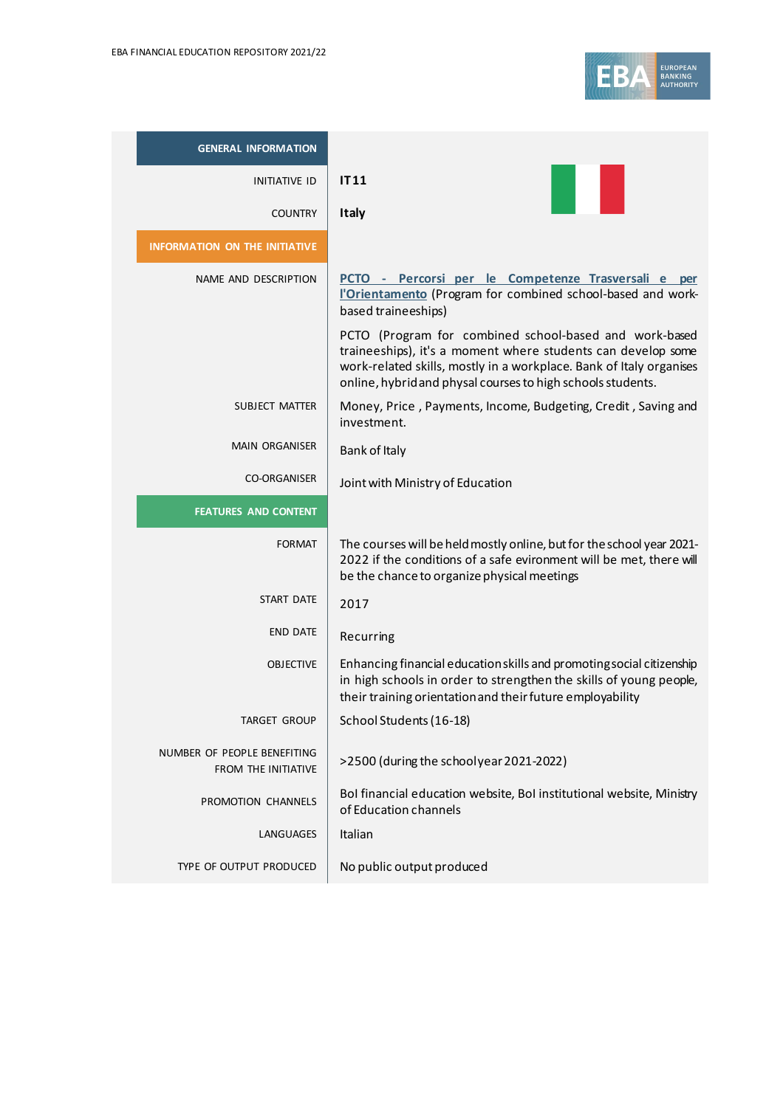

| <b>GENERAL INFORMATION</b>                         |                                                                                                                                                                                                                                                              |
|----------------------------------------------------|--------------------------------------------------------------------------------------------------------------------------------------------------------------------------------------------------------------------------------------------------------------|
| <b>INITIATIVE ID</b>                               | IT11                                                                                                                                                                                                                                                         |
| <b>COUNTRY</b>                                     | <b>Italy</b>                                                                                                                                                                                                                                                 |
| <b>INFORMATION ON THE INITIATIVE</b>               |                                                                                                                                                                                                                                                              |
| NAME AND DESCRIPTION                               | PCTO - Percorsi per le Competenze Trasversali e per<br><b>l'Orientamento</b> (Program for combined school-based and work-<br>based traineeships)                                                                                                             |
|                                                    | PCTO (Program for combined school-based and work-based<br>traineeships), it's a moment where students can develop some<br>work-related skills, mostly in a workplace. Bank of Italy organises<br>online, hybrid and physal courses to high schools students. |
| <b>SUBJECT MATTER</b>                              | Money, Price, Payments, Income, Budgeting, Credit, Saving and<br>investment.                                                                                                                                                                                 |
| <b>MAIN ORGANISER</b>                              | Bank of Italy                                                                                                                                                                                                                                                |
| <b>CO-ORGANISER</b>                                | Joint with Ministry of Education                                                                                                                                                                                                                             |
| <b>FEATURES AND CONTENT</b>                        |                                                                                                                                                                                                                                                              |
| <b>FORMAT</b>                                      | The courses will be held mostly online, but for the school year 2021-<br>2022 if the conditions of a safe evironment will be met, there will<br>be the chance to organize physical meetings                                                                  |
| <b>START DATE</b>                                  | 2017                                                                                                                                                                                                                                                         |
| <b>END DATE</b>                                    | Recurring                                                                                                                                                                                                                                                    |
| <b>OBJECTIVE</b>                                   | Enhancing financial education skills and promoting social citizenship<br>in high schools in order to strengthen the skills of young people,<br>their training orientation and their future employability                                                     |
| TARGET GROUP                                       | School Students (16-18)                                                                                                                                                                                                                                      |
| NUMBER OF PEOPLE BENEFITING<br>FROM THE INITIATIVE | >2500 (during the schoolyear 2021-2022)                                                                                                                                                                                                                      |
| PROMOTION CHANNELS                                 | Bol financial education website, Bol institutional website, Ministry<br>of Education channels                                                                                                                                                                |
| LANGUAGES                                          | Italian                                                                                                                                                                                                                                                      |
| TYPE OF OUTPUT PRODUCED                            | No public output produced                                                                                                                                                                                                                                    |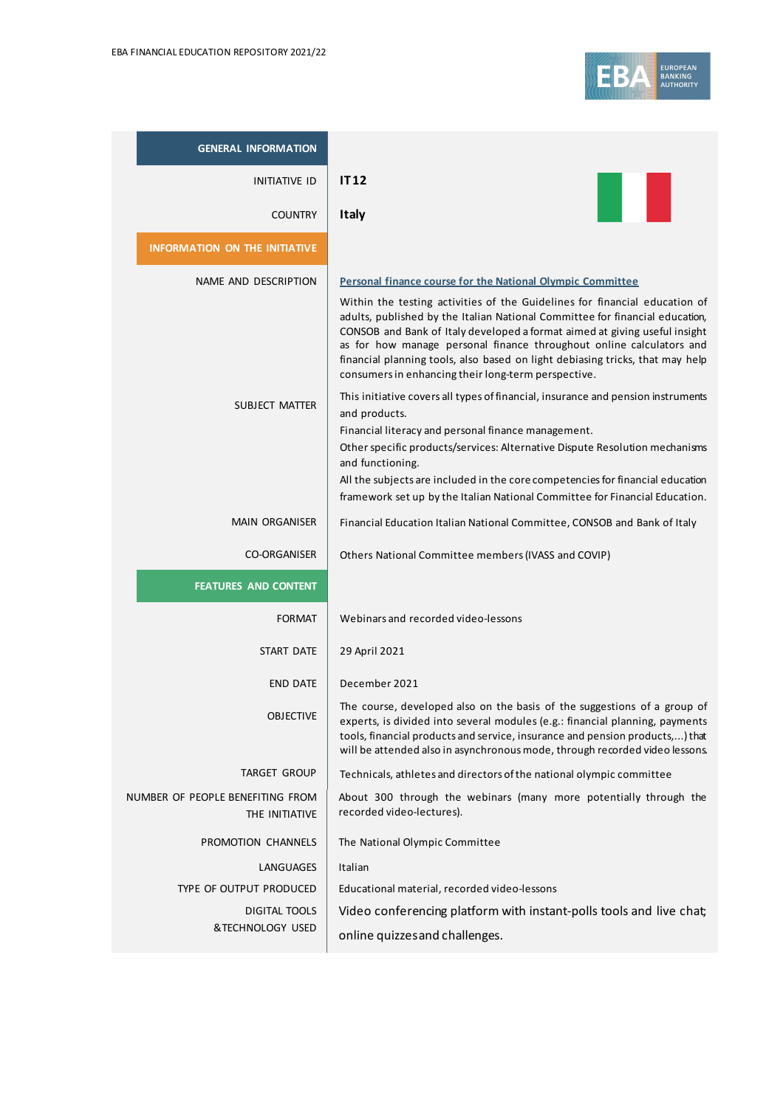

| <b>GENERAL INFORMATION</b>                         |                                                                                                                                                                                                                                                                                                                                                                                                                                                          |
|----------------------------------------------------|----------------------------------------------------------------------------------------------------------------------------------------------------------------------------------------------------------------------------------------------------------------------------------------------------------------------------------------------------------------------------------------------------------------------------------------------------------|
| <b>INITIATIVE ID</b>                               | <b>IT12</b>                                                                                                                                                                                                                                                                                                                                                                                                                                              |
| <b>COUNTRY</b>                                     | <b>Italy</b>                                                                                                                                                                                                                                                                                                                                                                                                                                             |
| <b>INFORMATION ON THE INITIATIVE</b>               |                                                                                                                                                                                                                                                                                                                                                                                                                                                          |
| NAME AND DESCRIPTION                               | Personal finance course for the National Olympic Committee                                                                                                                                                                                                                                                                                                                                                                                               |
|                                                    | Within the testing activities of the Guidelines for financial education of<br>adults, published by the Italian National Committee for financial education,<br>CONSOB and Bank of Italy developed a format aimed at giving useful insight<br>as for how manage personal finance throughout online calculators and<br>financial planning tools, also based on light debiasing tricks, that may help<br>consumers in enhancing their long-term perspective. |
| <b>SUBJECT MATTER</b>                              | This initiative covers all types of financial, insurance and pension instruments<br>and products.                                                                                                                                                                                                                                                                                                                                                        |
|                                                    | Financial literacy and personal finance management.<br>Other specific products/services: Alternative Dispute Resolution mechanisms<br>and functioning.                                                                                                                                                                                                                                                                                                   |
|                                                    | All the subjects are included in the core competencies for financial education<br>framework set up by the Italian National Committee for Financial Education.                                                                                                                                                                                                                                                                                            |
| <b>MAIN ORGANISER</b>                              | Financial Education Italian National Committee, CONSOB and Bank of Italy                                                                                                                                                                                                                                                                                                                                                                                 |
| <b>CO-ORGANISER</b>                                | Others National Committee members (IVASS and COVIP)                                                                                                                                                                                                                                                                                                                                                                                                      |
| <b>FEATURES AND CONTENT</b>                        |                                                                                                                                                                                                                                                                                                                                                                                                                                                          |
| <b>FORMAT</b>                                      | Webinars and recorded video-lessons                                                                                                                                                                                                                                                                                                                                                                                                                      |
| START DATE                                         | 29 April 2021                                                                                                                                                                                                                                                                                                                                                                                                                                            |
| <b>END DATE</b>                                    | December 2021                                                                                                                                                                                                                                                                                                                                                                                                                                            |
| <b>OBJECTIVE</b>                                   | The course, developed also on the basis of the suggestions of a group of<br>experts, is divided into several modules (e.g.: financial planning, payments<br>tools, financial products and service, insurance and pension products,) that<br>will be attended also in asynchronous mode, through recorded video lessons.                                                                                                                                  |
| TARGET GROUP                                       | Technicals, athletes and directors of the national olympic committee                                                                                                                                                                                                                                                                                                                                                                                     |
| NUMBER OF PEOPLE BENEFITING FROM<br>THE INITIATIVE | About 300 through the webinars (many more potentially through the<br>recorded video-lectures).                                                                                                                                                                                                                                                                                                                                                           |
| PROMOTION CHANNELS                                 | The National Olympic Committee                                                                                                                                                                                                                                                                                                                                                                                                                           |
| LANGUAGES                                          | Italian                                                                                                                                                                                                                                                                                                                                                                                                                                                  |
| TYPE OF OUTPUT PRODUCED                            | Educational material, recorded video-lessons                                                                                                                                                                                                                                                                                                                                                                                                             |
| DIGITAL TOOLS<br>&TECHNOLOGY USED                  | Video conferencing platform with instant-polls tools and live chat;                                                                                                                                                                                                                                                                                                                                                                                      |
|                                                    | online quizzes and challenges.                                                                                                                                                                                                                                                                                                                                                                                                                           |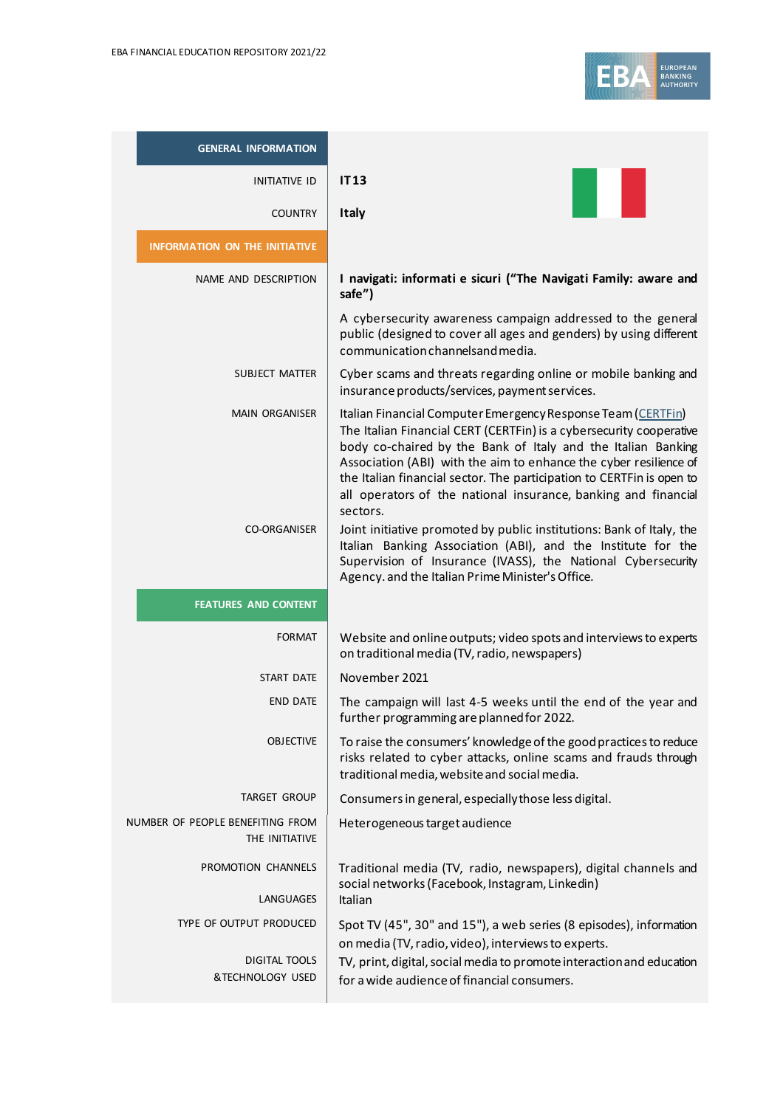| <b>GENERAL INFORMATION</b>                         |                                                                                                                                                                                                                                                                                                                                                                                                                                                                                                                                                                         |
|----------------------------------------------------|-------------------------------------------------------------------------------------------------------------------------------------------------------------------------------------------------------------------------------------------------------------------------------------------------------------------------------------------------------------------------------------------------------------------------------------------------------------------------------------------------------------------------------------------------------------------------|
| INITIATIVE ID                                      | <b>IT13</b>                                                                                                                                                                                                                                                                                                                                                                                                                                                                                                                                                             |
| <b>COUNTRY</b>                                     | Italy                                                                                                                                                                                                                                                                                                                                                                                                                                                                                                                                                                   |
| <b>INFORMATION ON THE INITIATIVE</b>               |                                                                                                                                                                                                                                                                                                                                                                                                                                                                                                                                                                         |
| NAME AND DESCRIPTION                               | I navigati: informati e sicuri ("The Navigati Family: aware and<br>safe")                                                                                                                                                                                                                                                                                                                                                                                                                                                                                               |
|                                                    | A cybersecurity awareness campaign addressed to the general<br>public (designed to cover all ages and genders) by using different<br>communication channelsand media.                                                                                                                                                                                                                                                                                                                                                                                                   |
| SUBJECT MATTER                                     | Cyber scams and threats regarding online or mobile banking and<br>insurance products/services, payment services.                                                                                                                                                                                                                                                                                                                                                                                                                                                        |
| <b>MAIN ORGANISER</b><br><b>CO-ORGANISER</b>       | Italian Financial Computer Emergency Response Team (CERTFin)<br>The Italian Financial CERT (CERTFin) is a cybersecurity cooperative<br>body co-chaired by the Bank of Italy and the Italian Banking<br>Association (ABI) with the aim to enhance the cyber resilience of<br>the Italian financial sector. The participation to CERTFin is open to<br>all operators of the national insurance, banking and financial<br>sectors.<br>Joint initiative promoted by public institutions: Bank of Italy, the<br>Italian Banking Association (ABI), and the Institute for the |
|                                                    | Supervision of Insurance (IVASS), the National Cybersecurity<br>Agency. and the Italian Prime Minister's Office.                                                                                                                                                                                                                                                                                                                                                                                                                                                        |
| <b>FEATURES AND CONTENT</b>                        |                                                                                                                                                                                                                                                                                                                                                                                                                                                                                                                                                                         |
| <b>FORMAT</b>                                      | Website and online outputs; video spots and interviews to experts<br>on traditional media (TV, radio, newspapers)                                                                                                                                                                                                                                                                                                                                                                                                                                                       |
| START DATE                                         | November 2021                                                                                                                                                                                                                                                                                                                                                                                                                                                                                                                                                           |
| <b>END DATE</b>                                    | The campaign will last 4-5 weeks until the end of the year and<br>further programming are planned for 2022.                                                                                                                                                                                                                                                                                                                                                                                                                                                             |
| <b>OBJECTIVE</b>                                   | To raise the consumers' knowledge of the good practices to reduce<br>risks related to cyber attacks, online scams and frauds through<br>traditional media, website and social media.                                                                                                                                                                                                                                                                                                                                                                                    |
| <b>TARGET GROUP</b>                                | Consumers in general, especially those less digital.                                                                                                                                                                                                                                                                                                                                                                                                                                                                                                                    |
| NUMBER OF PEOPLE BENEFITING FROM<br>THE INITIATIVE | Heterogeneous target audience                                                                                                                                                                                                                                                                                                                                                                                                                                                                                                                                           |
| PROMOTION CHANNELS<br>LANGUAGES                    | Traditional media (TV, radio, newspapers), digital channels and<br>social networks (Facebook, Instagram, Linkedin)<br>Italian                                                                                                                                                                                                                                                                                                                                                                                                                                           |
| TYPE OF OUTPUT PRODUCED                            |                                                                                                                                                                                                                                                                                                                                                                                                                                                                                                                                                                         |
| <b>DIGITAL TOOLS</b><br>&TECHNOLOGY USED           | Spot TV (45", 30" and 15"), a web series (8 episodes), information<br>on media (TV, radio, video), interviews to experts.<br>TV, print, digital, social media to promote interaction and education<br>for a wide audience of financial consumers.                                                                                                                                                                                                                                                                                                                       |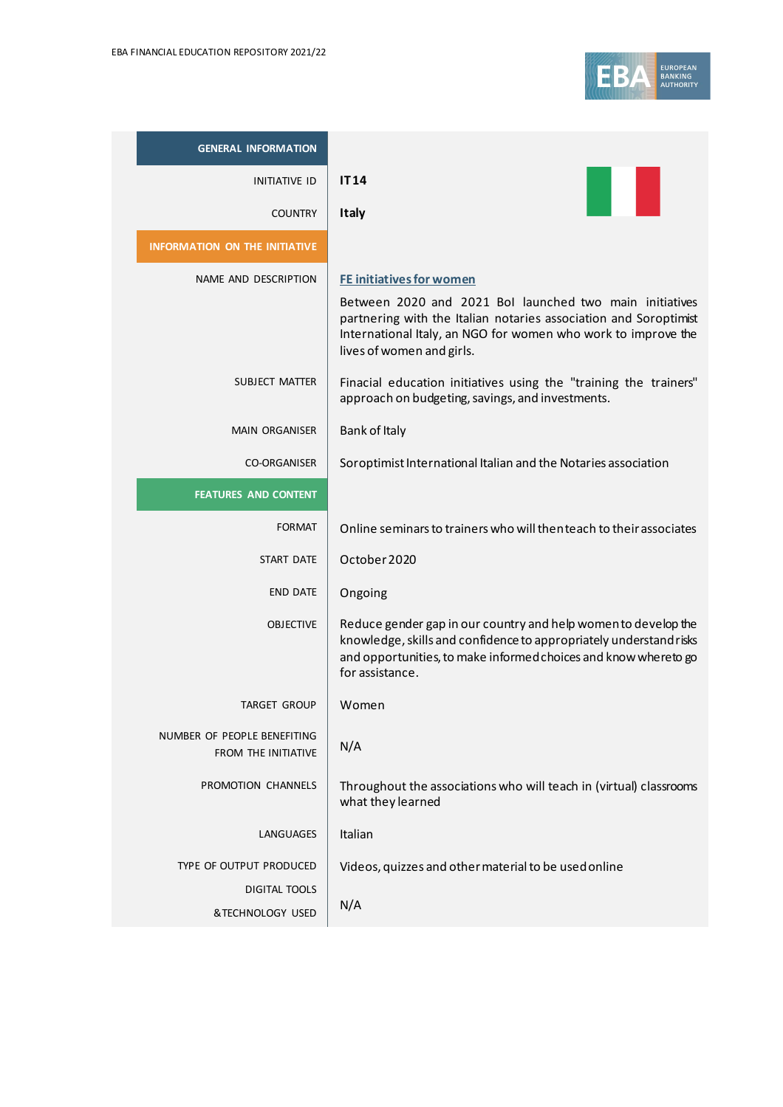

| <b>GENERAL INFORMATION</b>                                |                                                                                                                                                                                                                                                              |
|-----------------------------------------------------------|--------------------------------------------------------------------------------------------------------------------------------------------------------------------------------------------------------------------------------------------------------------|
| <b>INITIATIVE ID</b>                                      | <b>IT14</b>                                                                                                                                                                                                                                                  |
| <b>COUNTRY</b>                                            | <b>Italy</b>                                                                                                                                                                                                                                                 |
| <b>INFORMATION ON THE INITIATIVE</b>                      |                                                                                                                                                                                                                                                              |
| NAME AND DESCRIPTION                                      | <b>FE initiatives for women</b><br>Between 2020 and 2021 Bol launched two main initiatives<br>partnering with the Italian notaries association and Soroptimist<br>International Italy, an NGO for women who work to improve the<br>lives of women and girls. |
| SUBJECT MATTER                                            | Finacial education initiatives using the "training the trainers"<br>approach on budgeting, savings, and investments.                                                                                                                                         |
| <b>MAIN ORGANISER</b>                                     | Bank of Italy                                                                                                                                                                                                                                                |
| <b>CO-ORGANISER</b>                                       | Soroptimist International Italian and the Notaries association                                                                                                                                                                                               |
| <b>FEATURES AND CONTENT</b>                               |                                                                                                                                                                                                                                                              |
| <b>FORMAT</b>                                             | Online seminars to trainers who will then teach to their associates                                                                                                                                                                                          |
| <b>START DATE</b>                                         | October 2020                                                                                                                                                                                                                                                 |
| <b>END DATE</b>                                           | Ongoing                                                                                                                                                                                                                                                      |
| <b>OBJECTIVE</b>                                          | Reduce gender gap in our country and help women to develop the<br>knowledge, skills and confidence to appropriately understand risks<br>and opportunities, to make informed choices and know whereto go<br>for assistance.                                   |
| <b>TARGET GROUP</b>                                       | Women                                                                                                                                                                                                                                                        |
| NUMBER OF PEOPLE BENEFITING<br><b>FROM THE INITIATIVE</b> | N/A                                                                                                                                                                                                                                                          |
| PROMOTION CHANNELS                                        | Throughout the associations who will teach in (virtual) classrooms<br>what they learned                                                                                                                                                                      |
| LANGUAGES                                                 | Italian                                                                                                                                                                                                                                                      |
| TYPE OF OUTPUT PRODUCED                                   | Videos, quizzes and other material to be used online                                                                                                                                                                                                         |
| DIGITAL TOOLS                                             | N/A                                                                                                                                                                                                                                                          |
| &TECHNOLOGY USED                                          |                                                                                                                                                                                                                                                              |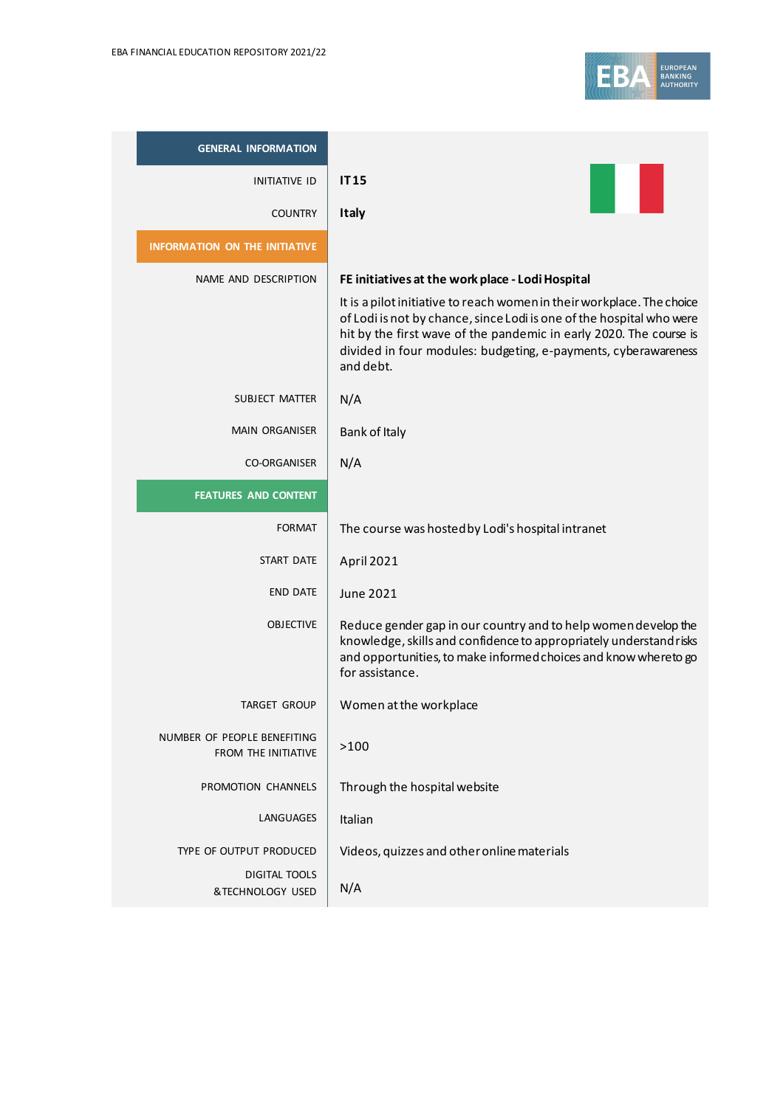

| <b>GENERAL INFORMATION</b>                                |                                                                                                                                                                                                                                                                                                     |
|-----------------------------------------------------------|-----------------------------------------------------------------------------------------------------------------------------------------------------------------------------------------------------------------------------------------------------------------------------------------------------|
| <b>INITIATIVE ID</b>                                      | <b>IT15</b>                                                                                                                                                                                                                                                                                         |
| <b>COUNTRY</b>                                            | <b>Italy</b>                                                                                                                                                                                                                                                                                        |
| <b>INFORMATION ON THE INITIATIVE</b>                      |                                                                                                                                                                                                                                                                                                     |
| NAME AND DESCRIPTION                                      | FE initiatives at the work place - Lodi Hospital                                                                                                                                                                                                                                                    |
|                                                           | It is a pilot initiative to reach women in their workplace. The choice<br>of Lodi is not by chance, since Lodi is one of the hospital who were<br>hit by the first wave of the pandemic in early 2020. The course is<br>divided in four modules: budgeting, e-payments, cyberawareness<br>and debt. |
| SUBJECT MATTER                                            | N/A                                                                                                                                                                                                                                                                                                 |
| <b>MAIN ORGANISER</b>                                     | Bank of Italy                                                                                                                                                                                                                                                                                       |
| <b>CO-ORGANISER</b>                                       | N/A                                                                                                                                                                                                                                                                                                 |
| <b>FEATURES AND CONTENT</b>                               |                                                                                                                                                                                                                                                                                                     |
| <b>FORMAT</b>                                             | The course was hosted by Lodi's hospital intranet                                                                                                                                                                                                                                                   |
| START DATE                                                | <b>April 2021</b>                                                                                                                                                                                                                                                                                   |
| END DATE                                                  | <b>June 2021</b>                                                                                                                                                                                                                                                                                    |
| <b>OBJECTIVE</b>                                          | Reduce gender gap in our country and to help women develop the<br>knowledge, skills and confidence to appropriately understand risks<br>and opportunities, to make informed choices and know whereto go<br>for assistance.                                                                          |
| <b>TARGET GROUP</b>                                       | Women at the workplace                                                                                                                                                                                                                                                                              |
| NUMBER OF PEOPLE BENEFITING<br><b>FROM THE INITIATIVE</b> | >100                                                                                                                                                                                                                                                                                                |
| PROMOTION CHANNELS                                        | Through the hospital website                                                                                                                                                                                                                                                                        |
| LANGUAGES                                                 | Italian                                                                                                                                                                                                                                                                                             |
| TYPE OF OUTPUT PRODUCED                                   | Videos, quizzes and other online materials                                                                                                                                                                                                                                                          |
| <b>DIGITAL TOOLS</b><br>&TECHNOLOGY USED                  | N/A                                                                                                                                                                                                                                                                                                 |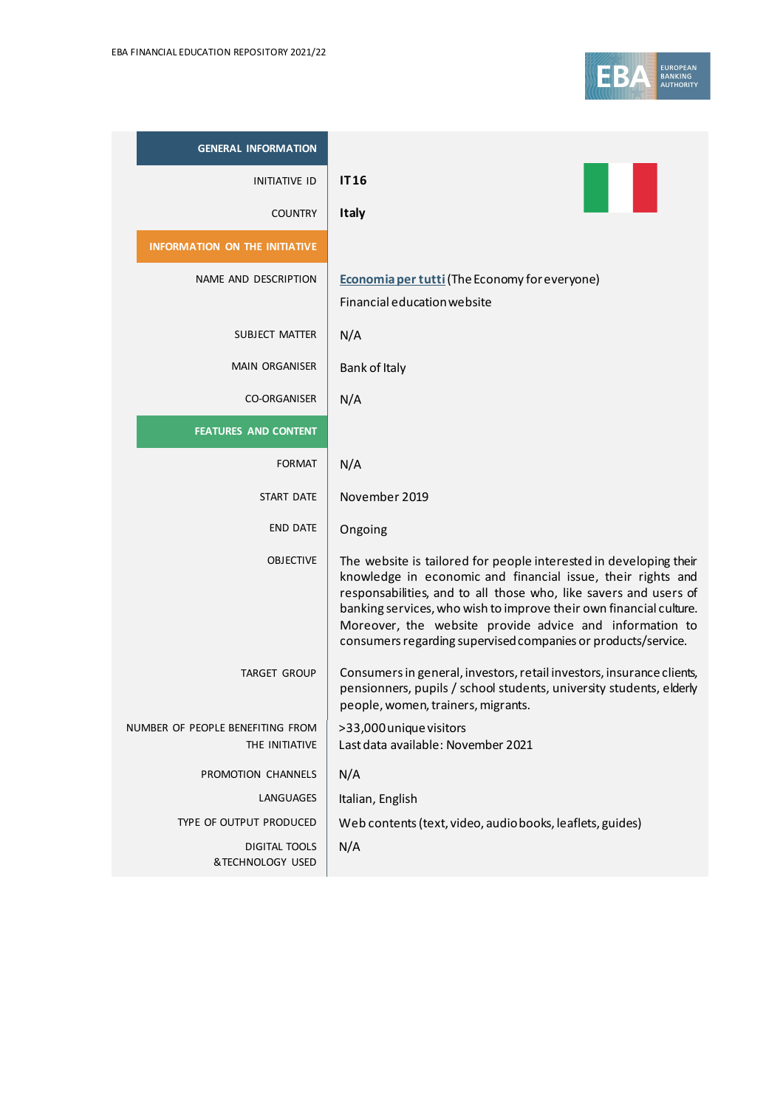| <b>GENERAL INFORMATION</b>                         |                                                                                                                                                                                                                                                                                                                                                                                                        |
|----------------------------------------------------|--------------------------------------------------------------------------------------------------------------------------------------------------------------------------------------------------------------------------------------------------------------------------------------------------------------------------------------------------------------------------------------------------------|
| <b>INITIATIVE ID</b>                               | <b>IT16</b>                                                                                                                                                                                                                                                                                                                                                                                            |
| <b>COUNTRY</b>                                     | <b>Italy</b>                                                                                                                                                                                                                                                                                                                                                                                           |
| <b>INFORMATION ON THE INITIATIVE</b>               |                                                                                                                                                                                                                                                                                                                                                                                                        |
| NAME AND DESCRIPTION                               | Economia per tutti (The Economy for everyone)<br>Financial education website                                                                                                                                                                                                                                                                                                                           |
| SUBJECT MATTER                                     | N/A                                                                                                                                                                                                                                                                                                                                                                                                    |
| <b>MAIN ORGANISER</b>                              | Bank of Italy                                                                                                                                                                                                                                                                                                                                                                                          |
| <b>CO-ORGANISER</b>                                | N/A                                                                                                                                                                                                                                                                                                                                                                                                    |
| <b>FEATURES AND CONTENT</b>                        |                                                                                                                                                                                                                                                                                                                                                                                                        |
| <b>FORMAT</b>                                      | N/A                                                                                                                                                                                                                                                                                                                                                                                                    |
| <b>START DATE</b>                                  | November 2019                                                                                                                                                                                                                                                                                                                                                                                          |
| <b>END DATE</b>                                    | Ongoing                                                                                                                                                                                                                                                                                                                                                                                                |
| <b>OBJECTIVE</b>                                   | The website is tailored for people interested in developing their<br>knowledge in economic and financial issue, their rights and<br>responsabilities, and to all those who, like savers and users of<br>banking services, who wish to improve their own financial culture.<br>Moreover, the website provide advice and information to<br>consumers regarding supervised companies or products/service. |
| <b>TARGET GROUP</b>                                | Consumers in general, investors, retail investors, insurance clients,<br>pensionners, pupils / school students, university students, elderly<br>people, women, trainers, migrants.                                                                                                                                                                                                                     |
| NUMBER OF PEOPLE BENEFITING FROM<br>THE INITIATIVE | >33,000 unique visitors<br>Last data available: November 2021                                                                                                                                                                                                                                                                                                                                          |
| PROMOTION CHANNELS                                 | N/A                                                                                                                                                                                                                                                                                                                                                                                                    |
| LANGUAGES                                          | Italian, English                                                                                                                                                                                                                                                                                                                                                                                       |
| TYPE OF OUTPUT PRODUCED                            | Web contents (text, video, audiobooks, leaflets, guides)                                                                                                                                                                                                                                                                                                                                               |
| <b>DIGITAL TOOLS</b><br>&TECHNOLOGY USED           | N/A                                                                                                                                                                                                                                                                                                                                                                                                    |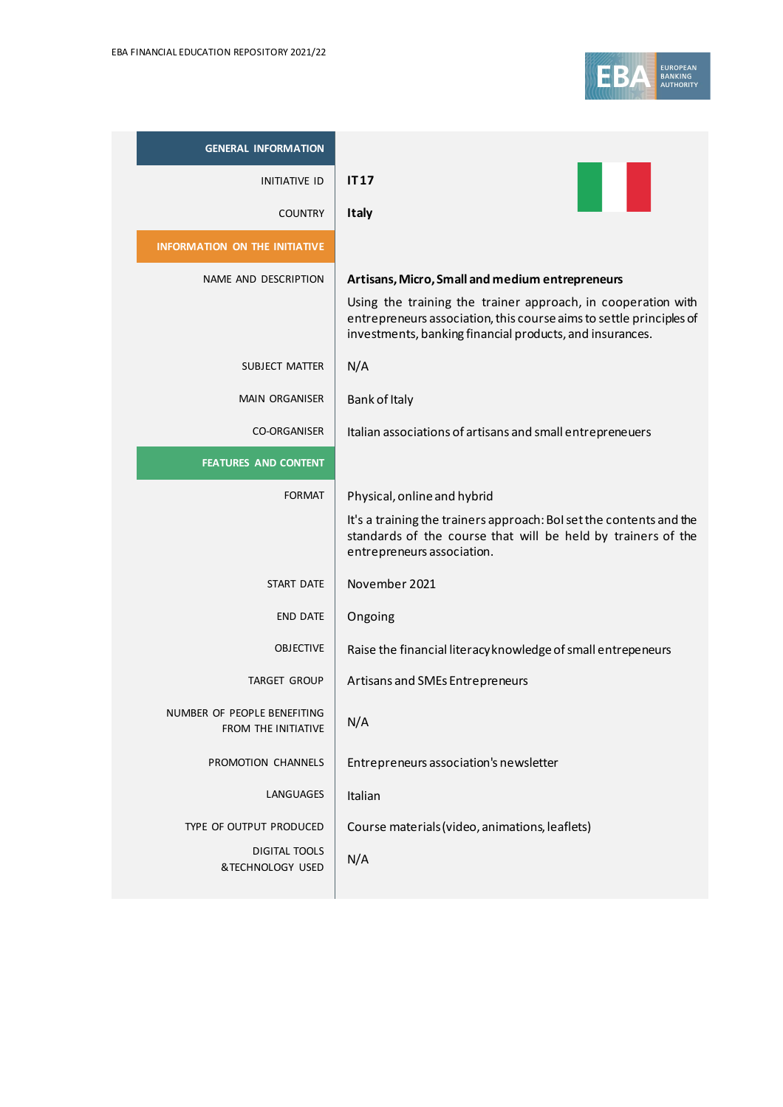

| <b>GENERAL INFORMATION</b>                                |                                                                                                                                                                                                 |
|-----------------------------------------------------------|-------------------------------------------------------------------------------------------------------------------------------------------------------------------------------------------------|
| <b>INITIATIVE ID</b>                                      | IT <sub>17</sub>                                                                                                                                                                                |
| <b>COUNTRY</b>                                            | <b>Italy</b>                                                                                                                                                                                    |
| <b>INFORMATION ON THE INITIATIVE</b>                      |                                                                                                                                                                                                 |
| NAME AND DESCRIPTION                                      | Artisans, Micro, Small and medium entrepreneurs                                                                                                                                                 |
|                                                           | Using the training the trainer approach, in cooperation with<br>entrepreneurs association, this course aims to settle principles of<br>investments, banking financial products, and insurances. |
| SUBJECT MATTER                                            | N/A                                                                                                                                                                                             |
| <b>MAIN ORGANISER</b>                                     | Bank of Italy                                                                                                                                                                                   |
| CO-ORGANISER                                              | Italian associations of artisans and small entrepreneuers                                                                                                                                       |
| <b>FEATURES AND CONTENT</b>                               |                                                                                                                                                                                                 |
| <b>FORMAT</b>                                             | Physical, online and hybrid                                                                                                                                                                     |
|                                                           | It's a training the trainers approach: BoI set the contents and the<br>standards of the course that will be held by trainers of the<br>entrepreneurs association.                               |
| START DATE                                                | November 2021                                                                                                                                                                                   |
| <b>END DATE</b>                                           | Ongoing                                                                                                                                                                                         |
| <b>OBJECTIVE</b>                                          | Raise the financial literacy knowledge of small entrepeneurs                                                                                                                                    |
| TARGET GROUP                                              | Artisans and SMEs Entrepreneurs                                                                                                                                                                 |
| NUMBER OF PEOPLE BENEFITING<br><b>FROM THE INITIATIVE</b> | N/A                                                                                                                                                                                             |
| PROMOTION CHANNELS                                        | Entrepreneurs association's newsletter                                                                                                                                                          |
| LANGUAGES                                                 | Italian                                                                                                                                                                                         |
| TYPE OF OUTPUT PRODUCED                                   | Course materials (video, animations, leaflets)                                                                                                                                                  |
| <b>DIGITAL TOOLS</b><br>&TECHNOLOGY USED                  | N/A                                                                                                                                                                                             |